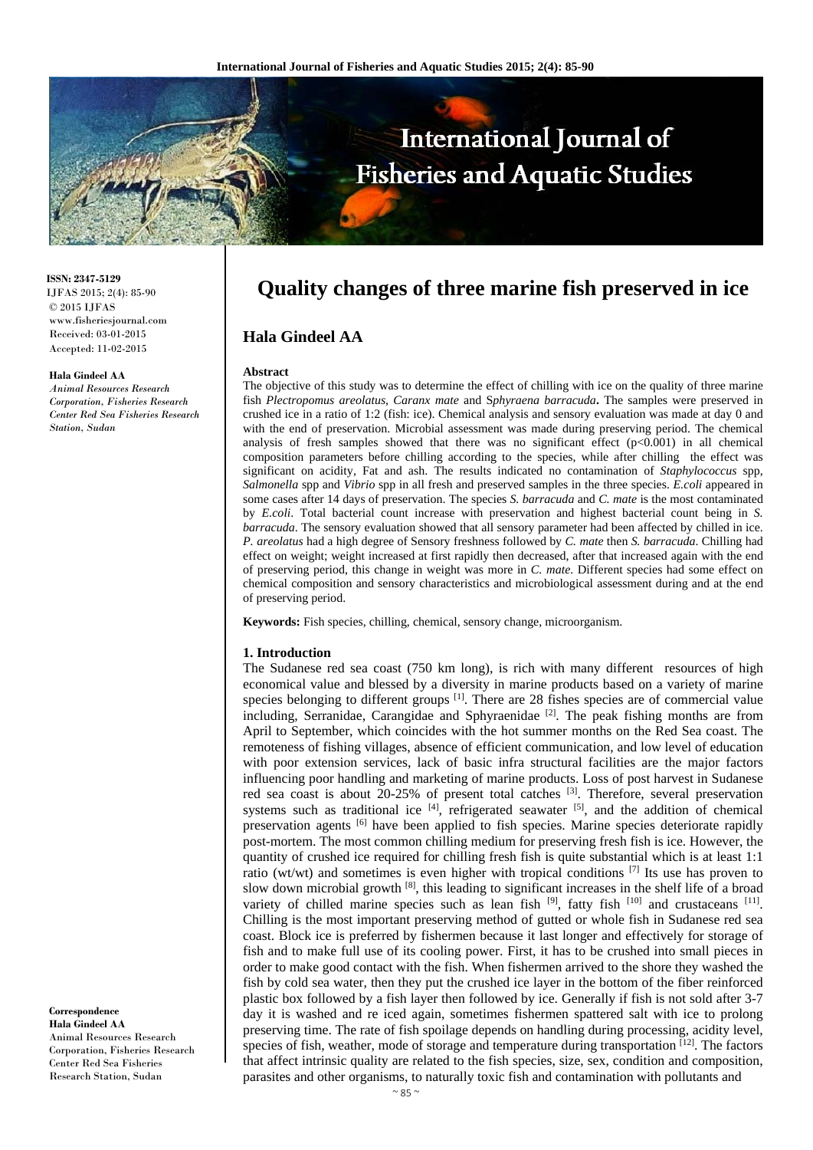

**ISSN: 2347-5129** IJFAS 2015; 2(4): 85-90 © 2015 IJFAS www.fisheriesjournal.com Received: 03-01-2015 Accepted: 11-02-2015

#### **Hala Gindeel AA**

*Animal Resources Research Corporation, Fisheries Research Center Red Sea Fisheries Research Station, Sudan* 

**Correspondence Hala Gindeel AA**  Animal Resources Research Corporation, Fisheries Research Center Red Sea Fisheries Research Station, Sudan

# **Quality changes of three marine fish preserved in ice**

# **Hala Gindeel AA**

#### **Abstract**

The objective of this study was to determine the effect of chilling with ice on the quality of three marine fish *Plectropomus areolatus*, *Caranx mate* and S*phyraena barracuda***.** The samples were preserved in crushed ice in a ratio of 1:2 (fish: ice). Chemical analysis and sensory evaluation was made at day 0 and with the end of preservation. Microbial assessment was made during preserving period. The chemical analysis of fresh samples showed that there was no significant effect  $(p<0.001)$  in all chemical composition parameters before chilling according to the species, while after chilling the effect was significant on acidity, Fat and ash. The results indicated no contamination of *Staphylococcus* spp, *Salmonella* spp and *Vibrio* spp in all fresh and preserved samples in the three species. *E.coli* appeared in some cases after 14 days of preservation. The species *S. barracuda* and *C. mate* is the most contaminated by *E.coli*. Total bacterial count increase with preservation and highest bacterial count being in *S. barracuda*. The sensory evaluation showed that all sensory parameter had been affected by chilled in ice. *P. areolatus* had a high degree of Sensory freshness followed by *C. mate* then *S. barracuda*. Chilling had effect on weight; weight increased at first rapidly then decreased, after that increased again with the end of preserving period, this change in weight was more in *C. mate*. Different species had some effect on chemical composition and sensory characteristics and microbiological assessment during and at the end of preserving period.

**Keywords:** Fish species, chilling, chemical, sensory change, microorganism.

#### **1. Introduction**

The Sudanese red sea coast (750 km long), is rich with many different resources of high economical value and blessed by a diversity in marine products based on a variety of marine species belonging to different groups <sup>[1]</sup>. There are 28 fishes species are of commercial value including, Serranidae, Carangidae and Sphyraenidae<sup>[2]</sup>. The peak fishing months are from April to September, which coincides with the hot summer months on the Red Sea coast. The remoteness of fishing villages, absence of efficient communication, and low level of education with poor extension services, lack of basic infra structural facilities are the major factors influencing poor handling and marketing of marine products. Loss of post harvest in Sudanese red sea coast is about  $20-25%$  of present total catches  $[3]$ . Therefore, several preservation systems such as traditional ice  $[4]$ , refrigerated seawater  $[5]$ , and the addition of chemical preservation agents <sup>[6]</sup> have been applied to fish species. Marine species deteriorate rapidly post-mortem. The most common chilling medium for preserving fresh fish is ice. However, the quantity of crushed ice required for chilling fresh fish is quite substantial which is at least 1:1 ratio (wt/wt) and sometimes is even higher with tropical conditions [7] Its use has proven to slow down microbial growth [8], this leading to significant increases in the shelf life of a broad variety of chilled marine species such as lean fish  $[9]$ , fatty fish  $[10]$  and crustaceans  $[11]$ . Chilling is the most important preserving method of gutted or whole fish in Sudanese red sea coast. Block ice is preferred by fishermen because it last longer and effectively for storage of fish and to make full use of its cooling power. First, it has to be crushed into small pieces in order to make good contact with the fish. When fishermen arrived to the shore they washed the fish by cold sea water, then they put the crushed ice layer in the bottom of the fiber reinforced plastic box followed by a fish layer then followed by ice. Generally if fish is not sold after 3-7 day it is washed and re iced again, sometimes fishermen spattered salt with ice to prolong preserving time. The rate of fish spoilage depends on handling during processing, acidity level, species of fish, weather, mode of storage and temperature during transportation  $[12]$ . The factors that affect intrinsic quality are related to the fish species, size, sex, condition and composition, parasites and other organisms, to naturally toxic fish and contamination with pollutants and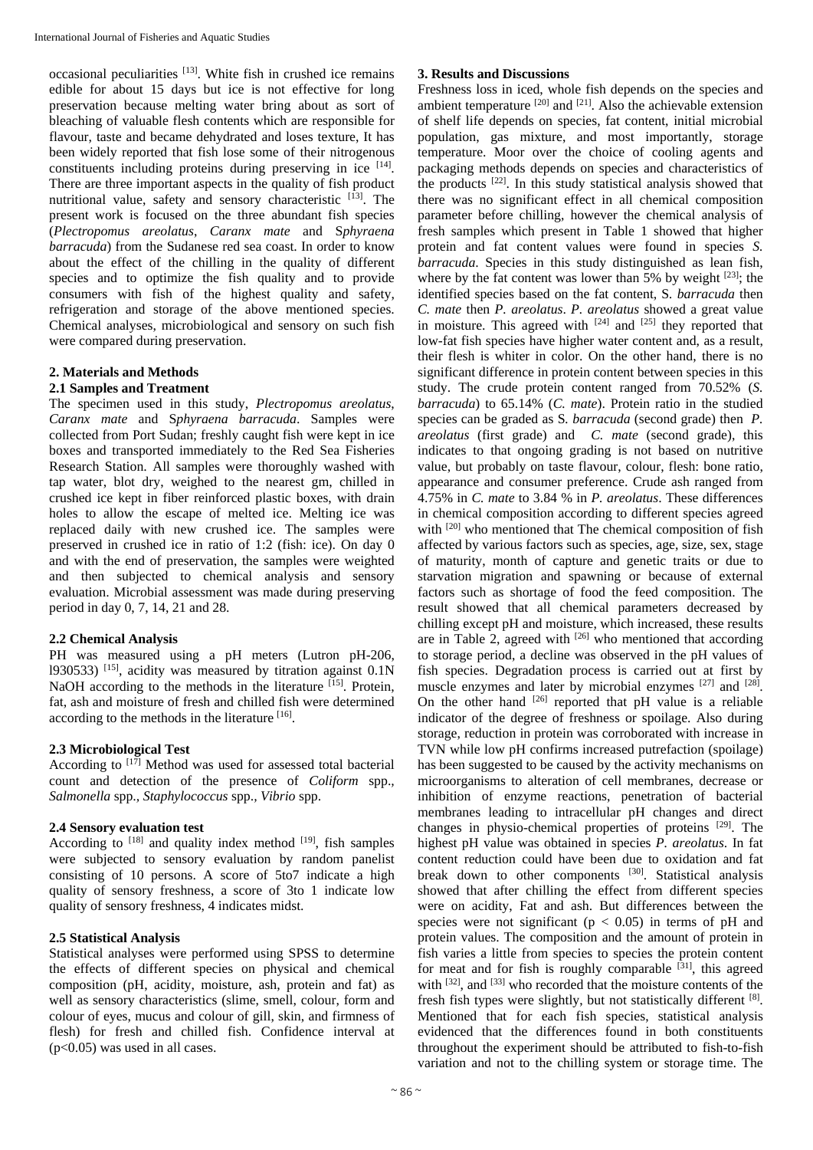occasional peculiarities [13]. White fish in crushed ice remains edible for about 15 days but ice is not effective for long preservation because melting water bring about as sort of bleaching of valuable flesh contents which are responsible for flavour, taste and became dehydrated and loses texture, It has been widely reported that fish lose some of their nitrogenous constituents including proteins during preserving in ice [14]. There are three important aspects in the quality of fish product nutritional value, safety and sensory characteristic [13]. The present work is focused on the three abundant fish species (*Plectropomus areolatus*, *Caranx mate* and S*phyraena barracuda*) from the Sudanese red sea coast. In order to know about the effect of the chilling in the quality of different species and to optimize the fish quality and to provide consumers with fish of the highest quality and safety, refrigeration and storage of the above mentioned species. Chemical analyses, microbiological and sensory on such fish were compared during preservation.

# **2. Materials and Methods**

# **2.1 Samples and Treatment**

The specimen used in this study, *Plectropomus areolatus*, *Caranx mate* and S*phyraena barracuda*. Samples were collected from Port Sudan; freshly caught fish were kept in ice boxes and transported immediately to the Red Sea Fisheries Research Station. All samples were thoroughly washed with tap water, blot dry, weighed to the nearest gm, chilled in crushed ice kept in fiber reinforced plastic boxes, with drain holes to allow the escape of melted ice. Melting ice was replaced daily with new crushed ice. The samples were preserved in crushed ice in ratio of 1:2 (fish: ice). On day 0 and with the end of preservation, the samples were weighted and then subjected to chemical analysis and sensory evaluation. Microbial assessment was made during preserving period in day 0, 7, 14, 21 and 28.

### **2.2 Chemical Analysis**

PH was measured using a pH meters (Lutron pH-206, 1930533)  $^{[15]}$ , acidity was measured by titration against 0.1N NaOH according to the methods in the literature <sup>[15]</sup>. Protein, fat, ash and moisture of fresh and chilled fish were determined according to the methods in the literature  $[16]$ .

### **2.3 Microbiological Test**

According to  $[17]$  Method was used for assessed total bacterial count and detection of the presence of *Coliform* spp.*, Salmonella* spp.*, Staphylococcus* spp.*, Vibrio* spp.

# **2.4 Sensory evaluation test**

According to  $[18]$  and quality index method  $[19]$ , fish samples were subjected to sensory evaluation by random panelist consisting of 10 persons. A score of 5to7 indicate a high quality of sensory freshness, a score of 3to 1 indicate low quality of sensory freshness, 4 indicates midst.

### **2.5 Statistical Analysis**

Statistical analyses were performed using SPSS to determine the effects of different species on physical and chemical composition (pH, acidity, moisture, ash, protein and fat) as well as sensory characteristics (slime, smell, colour, form and colour of eyes, mucus and colour of gill, skin, and firmness of flesh) for fresh and chilled fish. Confidence interval at (p<0.05) was used in all cases.

## **3. Results and Discussions**

Freshness loss in iced, whole fish depends on the species and ambient temperature  $[20]$  and  $[21]$ . Also the achievable extension of shelf life depends on species, fat content, initial microbial population, gas mixture, and most importantly, storage temperature. Moor over the choice of cooling agents and packaging methods depends on species and characteristics of the products [22]. In this study statistical analysis showed that there was no significant effect in all chemical composition parameter before chilling, however the chemical analysis of fresh samples which present in Table 1 showed that higher protein and fat content values were found in species *S. barracuda*. Species in this study distinguished as lean fish, where by the fat content was lower than  $5\%$  by weight  $[23]$ ; the identified species based on the fat content, S*. barracuda* then *C. mate* then *P. areolatus*. *P. areolatus* showed a great value in moisture. This agreed with  $[24]$  and  $[25]$  they reported that low-fat fish species have higher water content and, as a result, their flesh is whiter in color. On the other hand, there is no significant difference in protein content between species in this study. The crude protein content ranged from 70.52% (*S. barracuda*) to 65.14% (*C. mate*). Protein ratio in the studied species can be graded as S*. barracuda* (second grade) then *P. areolatus* (first grade) and *C. mate* (second grade), this indicates to that ongoing grading is not based on nutritive value, but probably on taste flavour, colour, flesh: bone ratio, appearance and consumer preference. Crude ash ranged from 4.75% in *C. mate* to 3.84 % in *P. areolatus*. These differences in chemical composition according to different species agreed with <sup>[20]</sup> who mentioned that The chemical composition of fish affected by various factors such as species, age, size, sex, stage of maturity, month of capture and genetic traits or due to starvation migration and spawning or because of external factors such as shortage of food the feed composition. The result showed that all chemical parameters decreased by chilling except pH and moisture, which increased, these results are in Table 2, agreed with  $^{[26]}$  who mentioned that according to storage period, a decline was observed in the pH values of fish species. Degradation process is carried out at first by muscle enzymes and later by microbial enzymes [27] and [28]. On the other hand  $[26]$  reported that pH value is a reliable indicator of the degree of freshness or spoilage. Also during storage, reduction in protein was corroborated with increase in TVN while low pH confirms increased putrefaction (spoilage) has been suggested to be caused by the activity mechanisms on microorganisms to alteration of cell membranes, decrease or inhibition of enzyme reactions, penetration of bacterial membranes leading to intracellular pH changes and direct changes in physio-chemical properties of proteins [29]. The highest pH value was obtained in species *P. areolatus*. In fat content reduction could have been due to oxidation and fat break down to other components [30]. Statistical analysis showed that after chilling the effect from different species were on acidity, Fat and ash. But differences between the species were not significant ( $p < 0.05$ ) in terms of pH and protein values. The composition and the amount of protein in fish varies a little from species to species the protein content for meat and for fish is roughly comparable  $[31]$ , this agreed with  $[32]$ , and  $[33]$  who recorded that the moisture contents of the fresh fish types were slightly, but not statistically different [8]. Mentioned that for each fish species, statistical analysis evidenced that the differences found in both constituents throughout the experiment should be attributed to fish-to-fish variation and not to the chilling system or storage time. The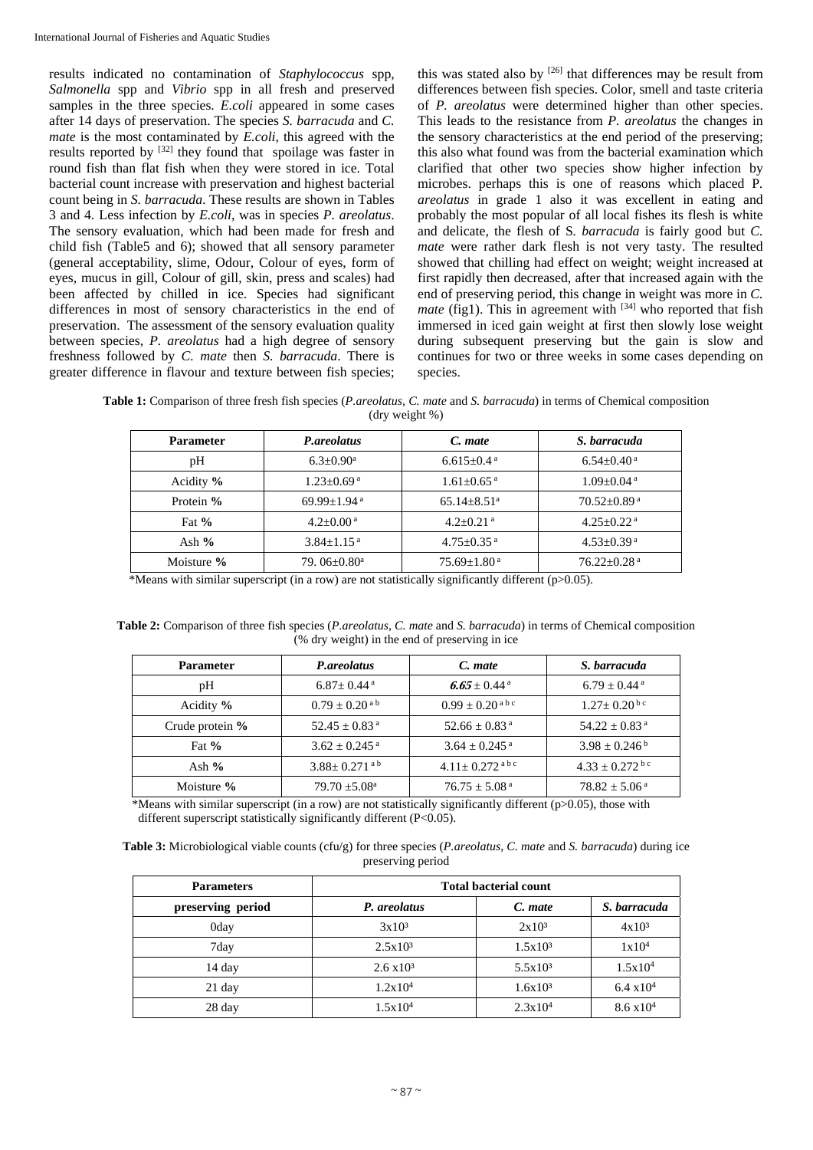results indicated no contamination of *Staphylococcus* spp, *Salmonella* spp and *Vibrio* spp in all fresh and preserved samples in the three species. *E.coli* appeared in some cases after 14 days of preservation. The species *S. barracuda* and *C. mate* is the most contaminated by *E.coli*, this agreed with the results reported by [32] they found that spoilage was faster in round fish than flat fish when they were stored in ice. Total bacterial count increase with preservation and highest bacterial count being in *S. barracuda*. These results are shown in Tables 3 and 4. Less infection by *E.coli*, was in species *P. areolatus*. The sensory evaluation, which had been made for fresh and child fish (Table5 and 6); showed that all sensory parameter (general acceptability, slime, Odour, Colour of eyes, form of eyes, mucus in gill, Colour of gill, skin, press and scales) had been affected by chilled in ice. Species had significant differences in most of sensory characteristics in the end of preservation. The assessment of the sensory evaluation quality between species, *P. areolatus* had a high degree of sensory freshness followed by *C. mate* then *S. barracuda*. There is greater difference in flavour and texture between fish species;

this was stated also by [26] that differences may be result from differences between fish species. Color, smell and taste criteria of *P. areolatus* were determined higher than other species. This leads to the resistance from *P. areolatus* the changes in the sensory characteristics at the end period of the preserving; this also what found was from the bacterial examination which clarified that other two species show higher infection by microbes. perhaps this is one of reasons which placed P*. areolatus* in grade 1 also it was excellent in eating and probably the most popular of all local fishes its flesh is white and delicate, the flesh of S*. barracuda* is fairly good but *C. mate* were rather dark flesh is not very tasty. The resulted showed that chilling had effect on weight; weight increased at first rapidly then decreased, after that increased again with the end of preserving period, this change in weight was more in *C. mate* (fig1). This in agreement with  $[34]$  who reported that fish immersed in iced gain weight at first then slowly lose weight during subsequent preserving but the gain is slow and continues for two or three weeks in some cases depending on species.

**Table 1:** Comparison of three fresh fish species (*P.areolatus*, *C. mate* and *S. barracuda*) in terms of Chemical composition (dry weight %)

| <b>Parameter</b> | P.areolatus                    | C. mate                       | S. barracuda                  |  |
|------------------|--------------------------------|-------------------------------|-------------------------------|--|
| pH               | $6.3 \pm 0.90^{\text{a}}$      | $6.615 \pm 0.4^{\text{ a}}$   | $6.54 \pm 0.40^{\text{ a}}$   |  |
| Acidity %        | $1.23 \pm 0.69$ <sup>a</sup>   | $1.61 \pm 0.65$ <sup>a</sup>  | $1.09 + 0.04$ <sup>a</sup>    |  |
| Protein %        | $69.99 + 1.94$ <sup>a</sup>    | $65.14 \pm 8.51$ <sup>a</sup> | $70.52 \pm 0.89$ <sup>a</sup> |  |
| Fat $%$          | $4.2+0.00^{\text{a}}$          | $4.2 + 0.21$ <sup>a</sup>     | $4.25 \pm 0.22$ <sup>a</sup>  |  |
| Ash $%$          | $3.84 + 1.15$ <sup>a</sup>     | $4.75 + 0.35$ <sup>a</sup>    | $4.53+0.39$ <sup>a</sup>      |  |
| Moisture %       | 79. $06 \pm 0.80$ <sup>a</sup> | $75.69 \pm 1.80^{\text{ a}}$  | $76.22 \pm 0.28$ <sup>a</sup> |  |

\*Means with similar superscript (in a row) are not statistically significantly different (p>0.05).

**Table 2:** Comparison of three fish species (*P.areolatus*, *C. mate* and *S. barracuda*) in terms of Chemical composition (% dry weight) in the end of preserving in ice

| <b>Parameter</b> | P.areolatus                   | C. mate                       | S. barracuda                   |
|------------------|-------------------------------|-------------------------------|--------------------------------|
| pH               | $6.87 \pm 0.44$ <sup>a</sup>  | 6.65 $\pm$ 0.44 $^{\rm a}$    | $6.79 \pm 0.44$ <sup>a</sup>   |
| Acidity %        | $0.79 \pm 0.20^{\text{a b}}$  | $0.99 + 0.20$ <sup>abc</sup>  | $1.27 \pm 0.20^{b c}$          |
| Crude protein %  | $52.45 \pm 0.83$ <sup>a</sup> | $52.66 \pm 0.83$ <sup>a</sup> | $54.22 \pm 0.83$ <sup>a</sup>  |
| Fat $%$          | $3.62 \pm 0.245$ <sup>a</sup> | $3.64 \pm 0.245$ <sup>a</sup> | $3.98 \pm 0.246^{\mathrm{b}}$  |
| Ash $%$          | $3.88 + 0.271$ <sup>ab</sup>  | $4.11 + 0.272$ <sup>abc</sup> | $4.33 \pm 0.272$ <sup>bc</sup> |
| Moisture %       | $79.70 \pm 5.08^{\text{a}}$   | $76.75 \pm 5.08^{\text{ a}}$  | $78.82 \pm 5.06^{\text{ a}}$   |

 \*Means with similar superscript (in a row) are not statistically significantly different (p>0.05), those with different superscript statistically significantly different (P<0.05).

| <b>Table 3:</b> Microbiological viable counts (cfu/g) for three species ( <i>P.areolatus, C. mate</i> and <i>S. barracuda</i> ) during ice |  |
|--------------------------------------------------------------------------------------------------------------------------------------------|--|
| preserving period                                                                                                                          |  |

| <b>Parameters</b> | <b>Total bacterial count</b> |                   |                     |  |
|-------------------|------------------------------|-------------------|---------------------|--|
| preserving period | P. areolatus                 | C. mate           | S. barracuda        |  |
| 0day              | $3x10^3$                     | 2x10 <sup>3</sup> | $4x10^3$            |  |
| 7day              | $2.5x10^3$                   | $1.5x10^3$        | 1x10 <sup>4</sup>   |  |
| $14$ day          | $2.6 \times 10^3$            | $5.5x10^3$        | 1.5x10 <sup>4</sup> |  |
| $21$ day          | 1.2x10 <sup>4</sup>          | $1.6x10^3$        | $6.4 \times 10^{4}$ |  |
| 28 day            | 1.5x10 <sup>4</sup>          | $2.3x10^4$        | $8.6 \times 10^{4}$ |  |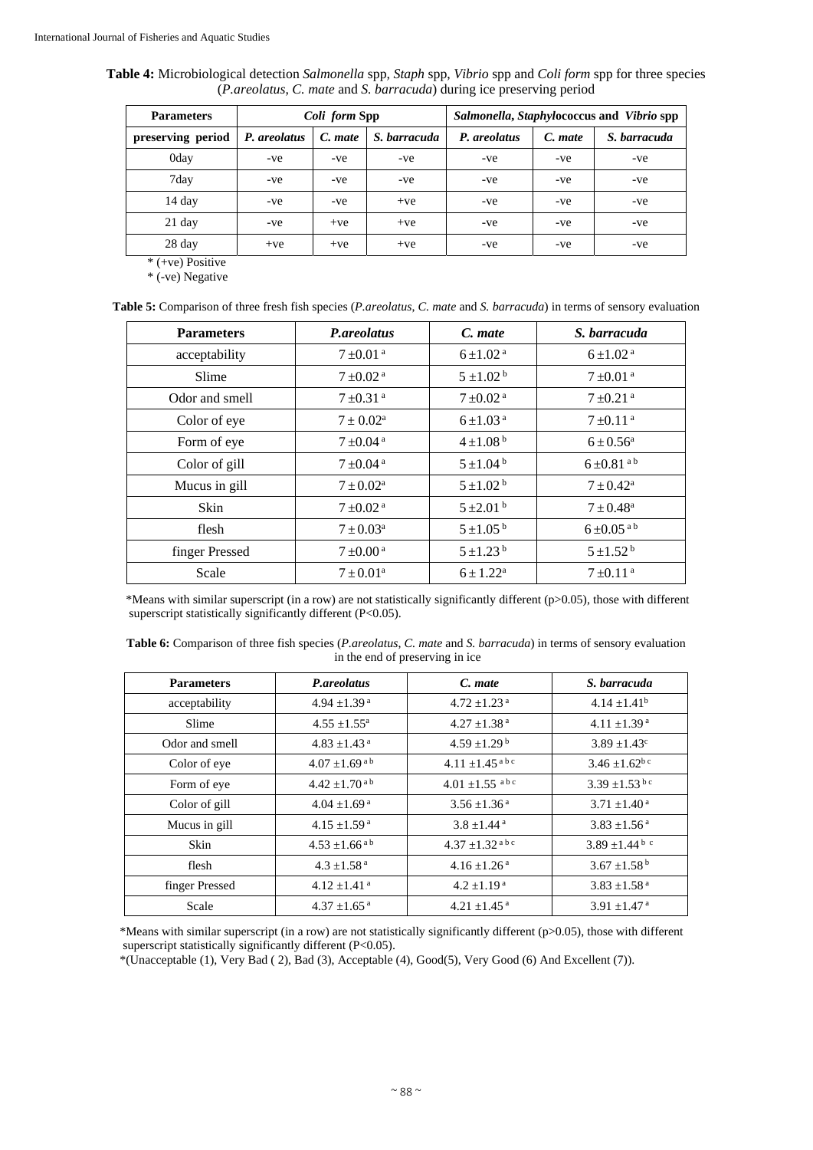| Table 4: Microbiological detection Salmonella spp, Staph spp, Vibrio spp and Coli form spp for three species |
|--------------------------------------------------------------------------------------------------------------|
| ( <i>P.areolatus, C. mate and S. barracuda</i> ) during ice preserving period                                |

| <b>Parameters</b> | Coli form Spp |         |              |              | Salmonella, Staphylococcus and Vibrio spp |              |  |
|-------------------|---------------|---------|--------------|--------------|-------------------------------------------|--------------|--|
| preserving period | P. areolatus  | C. mate | S. barracuda | P. areolatus | C. mate                                   | S. barracuda |  |
| 0day              | -ve           | -ve     | -ve          | -ve          | -ve                                       | -ve          |  |
| 7day              | -ve           | -ve     | -ve          | -ve          | -ve                                       | -ve          |  |
| 14 day            | -ve           | -ve     | $+ve$        | -ve          | -ve                                       | -ve          |  |
| $21$ day          | -ve           | $+ve$   | $+ve$        | -ve          | -ve                                       | -ve          |  |
| 28 day            | $+ve$         | $+ve$   | $+ve$        | -ve          | -ve                                       | -ve          |  |

\* (+ve) Positive

\* (-ve) Negative

**Table 5:** Comparison of three fresh fish species (*P.areolatus*, *C. mate* and *S. barracuda*) in terms of sensory evaluation

| <b>Parameters</b> | P.areolatus               | C. mate                   | S. barracuda               |
|-------------------|---------------------------|---------------------------|----------------------------|
| acceptability     | $7 \pm 0.01$ <sup>a</sup> | $6 \pm 1.02$ <sup>a</sup> | $6 \pm 1.02$ <sup>a</sup>  |
| Slime             | $7 \pm 0.02$ <sup>a</sup> | $5 \pm 1.02^{\mathrm{b}}$ | $7 \pm 0.01$ <sup>a</sup>  |
| Odor and smell    | $7 + 0.31$ <sup>a</sup>   | $7\pm0.02$ <sup>a</sup>   | $7 \pm 0.21$ <sup>a</sup>  |
| Color of eye      | $7 \pm 0.02^{\text{a}}$   | $6 \pm 1.03$ <sup>a</sup> | $7 \pm 0.11$ <sup>a</sup>  |
| Form of eye       | $7 \pm 0.04$ <sup>a</sup> | $4 \pm 1.08^{\text{b}}$   | $6 \pm 0.56^{\rm a}$       |
| Color of gill     | $7\pm0.04$ <sup>a</sup>   | $5 \pm 1.04^{\mathrm{b}}$ | $6\pm0.81$ <sup>ab</sup>   |
| Mucus in gill     | $7 \pm 0.02^{\text{a}}$   | $5 \pm 1.02^{\mathrm{b}}$ | $7 \pm 0.42^{\text{a}}$    |
| <b>Skin</b>       | $7 \pm 0.02$ <sup>a</sup> | $5 \pm 2.01^{\mathrm{b}}$ | $7 \pm 0.48^{\rm a}$       |
| flesh             | $7 \pm 0.03^{\rm a}$      | $5 \pm 1.05^{\mathrm{b}}$ | $6 \pm 0.05$ <sup>ab</sup> |
| finger Pressed    | $7 \pm 0.00^{\text{ a}}$  | $5 \pm 1.23$ <sup>b</sup> | $5 + 1.52^b$               |
| Scale             | $7 \pm 0.01^{\text{a}}$   | $6 \pm 1.22^a$            | $7 \pm 0.11$ <sup>a</sup>  |

 \*Means with similar superscript (in a row) are not statistically significantly different (p>0.05), those with different superscript statistically significantly different (P<0.05).

| <b>Table 6:</b> Comparison of three fish species ( <i>P.areolatus, C. mate</i> and <i>S. barracuda</i> ) in terms of sensory evaluation |  |
|-----------------------------------------------------------------------------------------------------------------------------------------|--|
| in the end of preserving in ice                                                                                                         |  |

| <b>Parameters</b> | P.areolatus<br>C. mate        |                                | S. barracuda                    |  |
|-------------------|-------------------------------|--------------------------------|---------------------------------|--|
| acceptability     | $4.94 \pm 1.39$ <sup>a</sup>  | $4.72 \pm 1.23$ <sup>a</sup>   | $4.14 \pm 1.41^b$               |  |
| Slime             | $4.55 \pm 1.55^{\text{a}}$    | $4.27 \pm 1.38$ <sup>a</sup>   | $4.11 \pm 1.39^{\text{a}}$      |  |
| Odor and smell    | $4.83 \pm 1.43$ <sup>a</sup>  | $4.59 \pm 1.29^{\mathrm{b}}$   | $3.89 \pm 1.43$ <sup>c</sup>    |  |
| Color of eye      | $4.07 \pm 1.69$ <sup>ab</sup> | $4.11 \pm 1.45$ <sup>abc</sup> | $3.46 \pm 1.62^{b}$             |  |
| Form of eye       | $4.42 \pm 1.70$ <sup>ab</sup> | $4.01 \pm 1.55$ abc            | $3.39 \pm 1.53$ bc              |  |
| Color of gill     | $4.04 \pm 1.69$ <sup>a</sup>  | $3.56 \pm 1.36^{\text{ a}}$    | $3.71 \pm 1.40^{\text{a}}$      |  |
| Mucus in gill     | $4.15 \pm 1.59$ <sup>a</sup>  | $3.8 \pm 1.44$ <sup>a</sup>    | $3.83 \pm 1.56$ <sup>a</sup>    |  |
| Skin              | $4.53 \pm 1.66$ <sup>ab</sup> | $4.37 \pm 1.32$ <sup>abc</sup> | 3.89 $\pm$ 1.44 $\frac{6}{3}$ c |  |
| flesh             | $4.3 \pm 1.58$ <sup>a</sup>   | $4.16 \pm 1.26$ <sup>a</sup>   | $3.67 \pm 1.58^{\mathrm{b}}$    |  |
| finger Pressed    | $4.12 \pm 1.41$ <sup>a</sup>  | $4.2 \pm 1.19^{\text{a}}$      | $3.83 \pm 1.58$ <sup>a</sup>    |  |
| Scale             | $4.37 \pm 1.65$ <sup>a</sup>  | $4.21 \pm 1.45$ <sup>a</sup>   | 3.91 $\pm$ 1.47 <sup>a</sup>    |  |

 \*Means with similar superscript (in a row) are not statistically significantly different (p>0.05), those with different superscript statistically significantly different (P<0.05).

\*(Unacceptable (1), Very Bad ( 2), Bad (3), Acceptable (4), Good(5), Very Good (6) And Excellent (7)).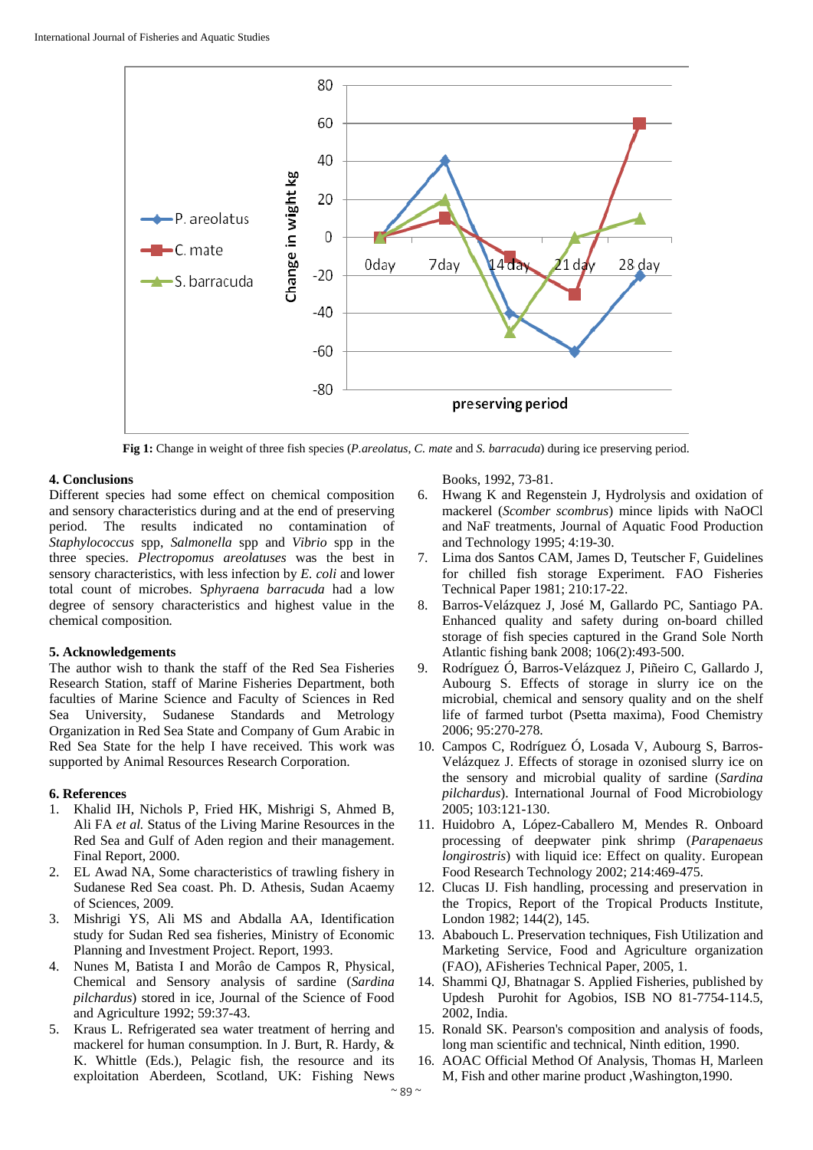

**Fig 1:** Change in weight of three fish species (*P.areolatus*, *C. mate* and *S. barracuda*) during ice preserving period.

### **4. Conclusions**

Different species had some effect on chemical composition and sensory characteristics during and at the end of preserving period. The results indicated no contamination of *Staphylococcus* spp, *Salmonella* spp and *Vibrio* spp in the three species. *Plectropomus areolatuses* was the best in sensory characteristics, with less infection by *E. coli* and lower total count of microbes. S*phyraena barracuda* had a low degree of sensory characteristics and highest value in the chemical composition*.* 

# **5. Acknowledgements**

The author wish to thank the staff of the Red Sea Fisheries Research Station, staff of Marine Fisheries Department, both faculties of Marine Science and Faculty of Sciences in Red Sea University, Sudanese Standards and Metrology Organization in Red Sea State and Company of Gum Arabic in Red Sea State for the help I have received. This work was supported by Animal Resources Research Corporation.

## **6. References**

- 1. Khalid IH, Nichols P, Fried HK, Mishrigi S, Ahmed B, Ali FA *et al.* Status of the Living Marine Resources in the Red Sea and Gulf of Aden region and their management. Final Report, 2000.
- 2. EL Awad NA, Some characteristics of trawling fishery in Sudanese Red Sea coast. Ph. D. Athesis, Sudan Acaemy of Sciences, 2009.
- 3. Mishrigi YS, Ali MS and Abdalla AA, Identification study for Sudan Red sea fisheries, Ministry of Economic Planning and Investment Project. Report, 1993.
- 4. Nunes M, Batista I and Morâo de Campos R, Physical, Chemical and Sensory analysis of sardine (*Sardina pilchardus*) stored in ice, Journal of the Science of Food and Agriculture 1992; 59:37-43.
- 5. Kraus L. Refrigerated sea water treatment of herring and mackerel for human consumption. In J. Burt, R. Hardy, & K. Whittle (Eds.), Pelagic fish*,* the resource and its exploitation Aberdeen, Scotland, UK: Fishing News

Books, 1992, 73-81.

- 6. Hwang K and Regenstein J, Hydrolysis and oxidation of mackerel (*Scomber scombrus*) mince lipids with NaOCl and NaF treatments, Journal of Aquatic Food Production and Technology 1995; 4:19-30.
- 7. Lima dos Santos CAM, James D, Teutscher F, Guidelines for chilled fish storage Experiment. FAO Fisheries Technical Paper 1981; 210:17-22.
- 8. Barros-Velázquez J, José M, Gallardo PC, Santiago PA. Enhanced quality and safety during on-board chilled storage of fish species captured in the Grand Sole North Atlantic fishing bank 2008; 106(2):493-500.
- 9. Rodríguez Ó, Barros-Velázquez J, Piñeiro C, Gallardo J, Aubourg S. Effects of storage in slurry ice on the microbial, chemical and sensory quality and on the shelf life of farmed turbot (Psetta maxima), Food Chemistry 2006; 95:270-278.
- 10. Campos C, Rodríguez Ó, Losada V, Aubourg S, Barros-Velázquez J. Effects of storage in ozonised slurry ice on the sensory and microbial quality of sardine (*Sardina pilchardus*). International Journal of Food Microbiology 2005; 103:121-130.
- 11. Huidobro A, López-Caballero M, Mendes R. Onboard processing of deepwater pink shrimp (*Parapenaeus longirostris*) with liquid ice: Effect on quality. European Food Research Technology 2002; 214:469-475.
- 12. Clucas IJ. Fish handling, processing and preservation in the Tropics, Report of the Tropical Products Institute, London 1982; 144(2), 145.
- 13. Ababouch L. Preservation techniques, Fish Utilization and Marketing Service, Food and Agriculture organization (FAO), AFisheries Technical Paper, 2005, 1.
- 14. Shammi QJ, Bhatnagar S. Applied Fisheries, published by Updesh Purohit for Agobios, ISB NO 81-7754-114.5, 2002, India.
- 15. Ronald SK. Pearson's composition and analysis of foods, long man scientific and technical, Ninth edition, 1990.
- 16. AOAC Official Method Of Analysis, Thomas H, Marleen M, Fish and other marine product ,Washington,1990.